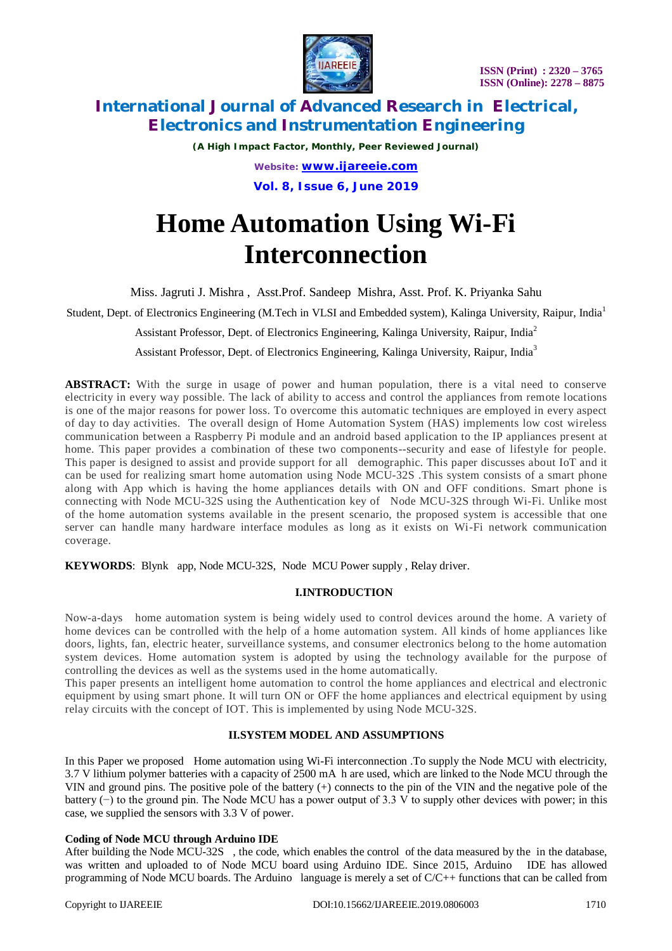

*(A High Impact Factor, Monthly, Peer Reviewed Journal) Website: [www.ijareeie.com](http://www.ijareeie.com)* **Vol. 8, Issue 6, June 2019**

# **Home Automation Using Wi-Fi Interconnection**

Miss. Jagruti J. Mishra , Asst.Prof. Sandeep Mishra, Asst. Prof. K. Priyanka Sahu

Student, Dept. of Electronics Engineering (M.Tech in VLSI and Embedded system), Kalinga University, Raipur, India<sup>1</sup>

Assistant Professor, Dept. of Electronics Engineering, Kalinga University, Raipur, India<sup>2</sup>

Assistant Professor, Dept. of Electronics Engineering, Kalinga University, Raipur, India<sup>3</sup>

**ABSTRACT:** With the surge in usage of power and human population, there is a vital need to conserve electricity in every way possible. The lack of ability to access and control the appliances from remote locations is one of the major reasons for power loss. To overcome this automatic techniques are employed in every aspect of day to day activities. The overall design of Home Automation System (HAS) implements low cost wireless communication between a Raspberry Pi module and an android based application to the IP appliances present at home. This paper provides a combination of these two components--security and ease of lifestyle for people. This paper is designed to assist and provide support for all demographic. This paper discusses about IoT and it can be used for realizing smart home automation using Node MCU-32S .This system consists of a smart phone along with App which is having the home appliances details with ON and OFF conditions. Smart phone is connecting with Node MCU-32S using the Authentication key of Node MCU-32S through Wi-Fi. Unlike most of the home automation systems available in the present scenario, the proposed system is accessible that one server can handle many hardware interface modules as long as it exists on Wi-Fi network communication coverage.

**KEYWORDS**: Blynk app, Node MCU-32S, Node MCU Power supply , Relay driver.

## **I.INTRODUCTION**

Now-a-days home automation system is being widely used to control devices around the home. A variety of home devices can be controlled with the help of a home automation system. All kinds of home appliances like doors, lights, fan, electric heater, surveillance systems, and consumer electronics belong to the home automation system devices. Home automation system is adopted by using the technology available for the purpose of controlling the devices as well as the systems used in the home automatically.

This paper presents an intelligent home automation to control the home appliances and electrical and electronic equipment by using smart phone. It will turn ON or OFF the home appliances and electrical equipment by using relay circuits with the concept of IOT. This is implemented by using Node MCU-32S.

## **II.SYSTEM MODEL AND ASSUMPTIONS**

In this Paper we proposed Home automation using Wi-Fi interconnection .To supply the Node MCU with electricity, 3.7 V lithium polymer batteries with a capacity of 2500 mA h are used, which are linked to the Node MCU through the VIN and ground pins. The positive pole of the battery (+) connects to the pin of the VIN and the negative pole of the battery (−) to the ground pin. The Node MCU has a power output of 3.3 V to supply other devices with power; in this case, we supplied the sensors with 3.3 V of power.

#### **Coding of Node MCU through Arduino IDE**

After building the Node MCU-32S , the code, which enables the control of the data measured by the in the database, was written and uploaded to of Node MCU board using Arduino IDE. Since 2015, Arduino IDE has allowed programming of Node MCU boards. The Arduino language is merely a set of C/C++ functions that can be called from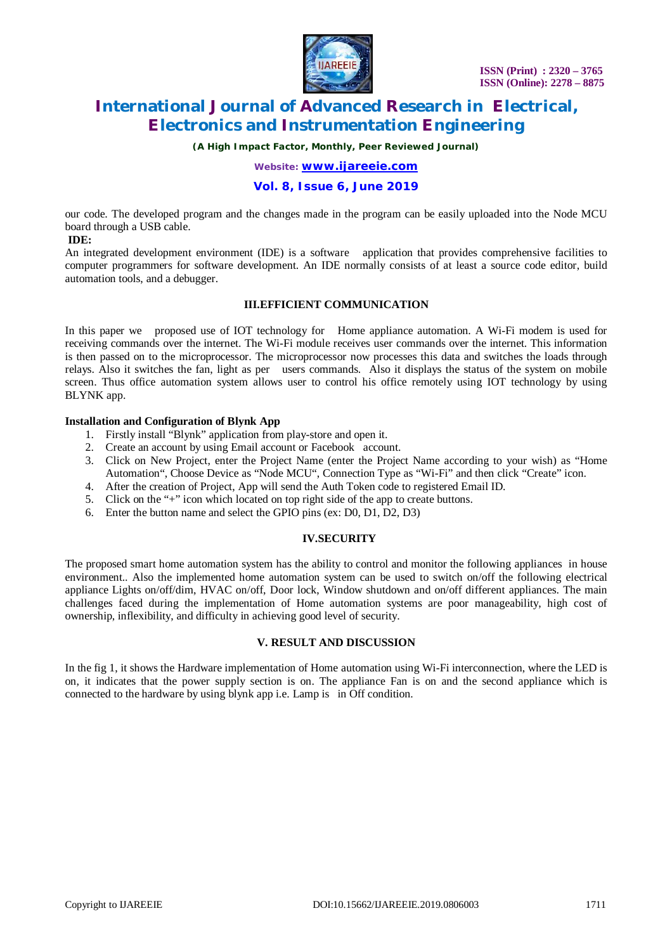

*(A High Impact Factor, Monthly, Peer Reviewed Journal)*

*Website: [www.ijareeie.com](http://www.ijareeie.com)*

### **Vol. 8, Issue 6, June 2019**

our code. The developed program and the changes made in the program can be easily uploaded into the Node MCU board through a USB cable.

#### **IDE:**

An integrated development environment (IDE) is a software application that provides comprehensive facilities to computer programmers for software development. An IDE normally consists of at least a source code editor, build automation tools, and a debugger.

#### **III.EFFICIENT COMMUNICATION**

In this paper we proposed use of IOT technology for Home appliance automation. A Wi-Fi modem is used for receiving commands over the internet. The Wi-Fi module receives user commands over the internet. This information is then passed on to the microprocessor. The microprocessor now processes this data and switches the loads through relays. Also it switches the fan, light as per users commands. Also it displays the status of the system on mobile screen. Thus office automation system allows user to control his office remotely using IOT technology by using BLYNK app.

#### **Installation and Configuration of Blynk App**

- 1. Firstly install "Blynk" application from play-store and open it.
- 2. Create an account by using Email account or Facebook account.
- 3. Click on New Project, enter the Project Name (enter the Project Name according to your wish) as "Home Automation", Choose Device as "Node MCU", Connection Type as "Wi-Fi" and then click "Create" icon.
- 4. After the creation of Project, App will send the Auth Token code to registered Email ID.
- 5. Click on the "+" icon which located on top right side of the app to create buttons.
- 6. Enter the button name and select the GPIO pins (ex: D0, D1, D2, D3)

#### **IV.SECURITY**

The proposed smart home automation system has the ability to control and monitor the following appliances in house environment.. Also the implemented home automation system can be used to switch on/off the following electrical appliance Lights on/off/dim, HVAC on/off, Door lock, Window shutdown and on/off different appliances. The main challenges faced during the implementation of Home automation systems are poor manageability, high cost of ownership, inflexibility, and difficulty in achieving good level of security.

#### **V. RESULT AND DISCUSSION**

In the fig 1, it shows the Hardware implementation of Home automation using Wi-Fi interconnection, where the LED is on, it indicates that the power supply section is on. The appliance Fan is on and the second appliance which is connected to the hardware by using blynk app i.e. Lamp is in Off condition.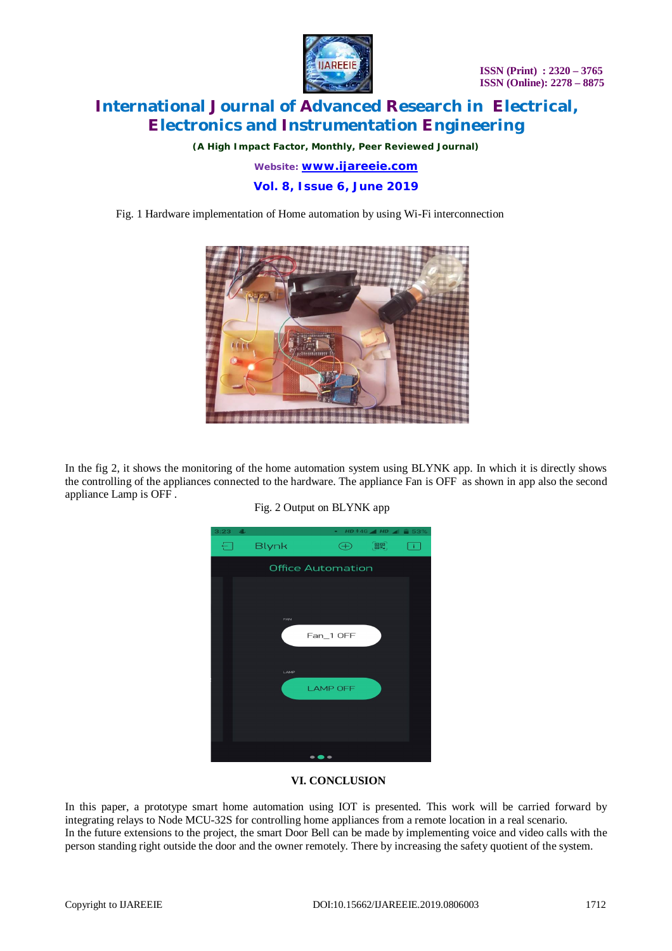

*(A High Impact Factor, Monthly, Peer Reviewed Journal)*

*Website: [www.ijareeie.com](http://www.ijareeie.com)*

**Vol. 8, Issue 6, June 2019**

Fig. 1 Hardware implementation of Home automation by using Wi-Fi interconnection



In the fig 2, it shows the monitoring of the home automation system using BLYNK app. In which it is directly shows the controlling of the appliances connected to the hardware. The appliance Fan is OFF as shown in app also the second appliance Lamp is OFF .



Fig. 2 Output on BLYNK app

## **VI. CONCLUSION**

In this paper, a prototype smart home automation using IOT is presented. This work will be carried forward by integrating relays to Node MCU-32S for controlling home appliances from a remote location in a real scenario. In the future extensions to the project, the smart Door Bell can be made by implementing voice and video calls with the person standing right outside the door and the owner remotely. There by increasing the safety quotient of the system.